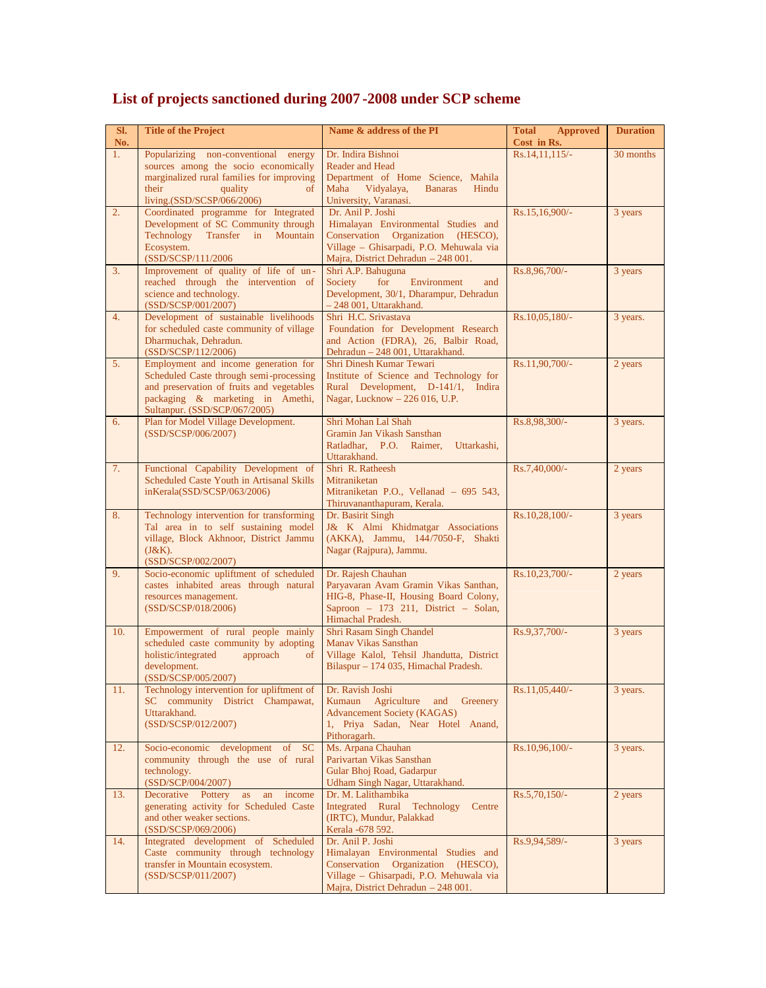| SI.<br>No. | <b>Title of the Project</b>                                                                                                                                                                       | Name & address of the PI                                                                                                                                                         | <b>Total</b><br><b>Approved</b><br>Cost in Rs. | <b>Duration</b> |
|------------|---------------------------------------------------------------------------------------------------------------------------------------------------------------------------------------------------|----------------------------------------------------------------------------------------------------------------------------------------------------------------------------------|------------------------------------------------|-----------------|
| 1.         | Popularizing non-conventional energy<br>sources among the socio economically<br>marginalized rural families for improving<br>their<br>quality<br>of<br>living.(SSD/SCSP/066/2006)                 | Dr. Indira Bishnoi<br><b>Reader and Head</b><br>Department of Home Science, Mahila<br>Maha<br>Vidyalaya,<br><b>Banaras</b><br>Hindu<br>University, Varanasi.                     | Rs.14.11.115/-                                 | 30 months       |
| 2.         | Coordinated programme for Integrated<br>Development of SC Community through<br>Technology Transfer in Mountain<br>Ecosystem.<br>(SSD/SCSP/111/2006                                                | Dr. Anil P. Joshi<br>Himalayan Environmental Studies and<br>Conservation Organization (HESCO),<br>Village - Ghisarpadi, P.O. Mehuwala via<br>Majra, District Dehradun - 248 001. | Rs.15,16,900/-                                 | 3 years         |
| 3.         | Improvement of quality of life of un-<br>reached through the intervention of<br>science and technology.<br>(SSD/SCSP/001/2007)                                                                    | Shri A.P. Bahuguna<br>Society<br>for<br>Environment<br>and<br>Development, 30/1, Dharampur, Dehradun<br>- 248 001, Uttarakhand.                                                  | Rs.8,96,700/-                                  | 3 years         |
| 4.         | Development of sustainable livelihoods<br>for scheduled caste community of village<br>Dharmuchak, Dehradun.<br>(SSD/SCSP/112/2006)                                                                | Shri H.C. Srivastava<br>Foundation for Development Research<br>and Action (FDRA), 26, Balbir Road,<br>Dehradun - 248 001, Uttarakhand.                                           | Rs.10,05,180/-                                 | 3 years.        |
| 5.         | Employment and income generation for<br>Scheduled Caste through semi-processing<br>and preservation of fruits and vegetables<br>packaging & marketing in Amethi,<br>Sultanpur. (SSD/SCP/067/2005) | Shri Dinesh Kumar Tewari<br>Institute of Science and Technology for<br>Rural Development, D-141/1, Indira<br>Nagar, Lucknow - 226 016, U.P.                                      | Rs.11,90,700/-                                 | 2 years         |
| 6.         | Plan for Model Village Development.<br>(SSD/SCSP/006/2007)                                                                                                                                        | Shri Mohan Lal Shah<br>Gramin Jan Vikash Sansthan<br>Ratladhar, P.O. Raimer,<br>Uttarkashi,<br>Uttarakhand.                                                                      | Rs.8,98,300/-                                  | 3 years.        |
| 7.         | Functional Capability Development of<br>Scheduled Caste Youth in Artisanal Skills<br>inKerala(SSD/SCSP/063/2006)                                                                                  | Shri R. Ratheesh<br>Mitraniketan<br>Mitraniketan P.O., Vellanad - 695 543,<br>Thiruvananthapuram, Kerala.                                                                        | Rs.7,40,000/-                                  | 2 years         |
| 8.         | Technology intervention for transforming<br>Tal area in to self sustaining model<br>village, Block Akhnoor, District Jammu<br>$(J&K)$ .<br>(SSD/SCSP/002/2007)                                    | Dr. Basirit Singh<br>J& K Almi Khidmatgar Associations<br>(AKKA), Jammu, 144/7050-F, Shakti<br>Nagar (Rajpura), Jammu.                                                           | Rs.10,28,100/-                                 | 3 years         |
| 9.         | Socio-economic upliftment of scheduled<br>castes inhabited areas through natural<br>resources management.<br>(SSD/SCSP/018/2006)                                                                  | Dr. Rajesh Chauhan<br>Paryavaran Avam Gramin Vikas Santhan,<br>HIG-8, Phase-II, Housing Board Colony,<br>Saproon - 173 211, District - Solan,<br>Himachal Pradesh.               | $Rs.10,23,700/-$                               | 2 years         |
| 10.        | Empowerment of rural people mainly<br>scheduled caste community by adopting<br>holistic/integrated<br>approach<br>of<br>development.<br>(SSD/SCSP/005/2007)                                       | Shri Rasam Singh Chandel<br>Manav Vikas Sansthan<br>Village Kalol, Tehsil Jhandutta, District<br>Bilaspur - 174 035, Himachal Pradesh.                                           | Rs.9,37,700/-                                  | 3 years         |
| 11.        | Technology intervention for upliftment of<br>SC community District Champawat,<br>Uttarakhand.<br>(SSD/SCSP/012/2007)                                                                              | Dr. Ravish Joshi<br>Agriculture and<br>Greenery<br>Kumaun<br><b>Advancement Society (KAGAS)</b><br>1, Priya Sadan, Near Hotel Anand,<br>Pithoragarh.                             | Rs.11,05,440/-                                 | 3 years.        |
| 12.        | Socio-economic development of<br>SC<br>community through the use of rural<br>technology.<br>(SSD/SCP/004/2007)                                                                                    | Ms. Arpana Chauhan<br>Parivartan Vikas Sansthan<br>Gular Bhoj Road, Gadarpur<br>Udham Singh Nagar, Uttarakhand.                                                                  | Rs.10,96,100/-                                 | 3 years.        |
| 13.        | Decorative Pottery as<br>an income<br>generating activity for Scheduled Caste<br>and other weaker sections.<br>(SSD/SCSP/069/2006)                                                                | Dr. M. Lalithambika<br>Integrated Rural Technology<br>Centre<br>(IRTC), Mundur, Palakkad<br>Kerala - 678 592.                                                                    | Rs.5,70,150/-                                  | 2 years         |
| 14.        | Integrated development of Scheduled<br>Caste community through technology<br>transfer in Mountain ecosystem.<br>(SSD/SCSP/011/2007)                                                               | Dr. Anil P. Joshi<br>Himalayan Environmental Studies and<br>Conservation Organization (HESCO),<br>Village - Ghisarpadi, P.O. Mehuwala via<br>Majra, District Dehradun - 248 001. | Rs.9,94,589/-                                  | 3 years         |

## **List of projects sanctioned during 2007 -2008 under SCP scheme**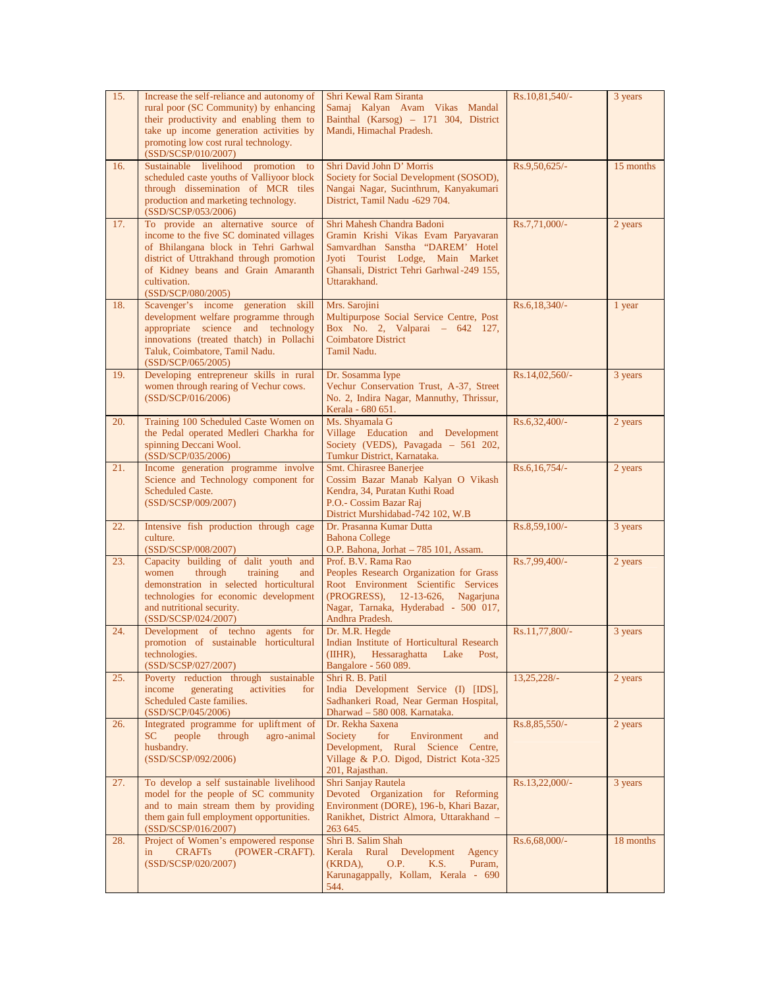| 15. | Increase the self-reliance and autonomy of<br>rural poor (SC Community) by enhancing<br>their productivity and enabling them to<br>take up income generation activities by<br>promoting low cost rural technology.<br>(SSD/SCSP/010/2007)       | Shri Kewal Ram Siranta<br>Samaj Kalyan Avam Vikas Mandal<br>Bainthal (Karsog) - 171 304, District<br>Mandi, Himachal Pradesh.                                                                          | Rs.10,81,540/-   | 3 years   |
|-----|-------------------------------------------------------------------------------------------------------------------------------------------------------------------------------------------------------------------------------------------------|--------------------------------------------------------------------------------------------------------------------------------------------------------------------------------------------------------|------------------|-----------|
| 16. | Sustainable livelihood promotion<br>to<br>scheduled caste youths of Valliyoor block<br>through dissemination of MCR tiles<br>production and marketing technology.<br>(SSD/SCSP/053/2006)                                                        | Shri David John D' Morris<br>Society for Social Development (SOSOD),<br>Nangai Nagar, Sucinthrum, Kanyakumari<br>District, Tamil Nadu -629 704.                                                        | Rs.9,50,625/-    | 15 months |
| 17. | To provide an alternative source of<br>income to the five SC dominated villages<br>of Bhilangana block in Tehri Garhwal<br>district of Uttrakhand through promotion<br>of Kidney beans and Grain Amaranth<br>cultivation.<br>(SSD/SCP/080/2005) | Shri Mahesh Chandra Badoni<br>Gramin Krishi Vikas Evam Paryavaran<br>Samvardhan Sanstha "DAREM" Hotel<br>Jyoti Tourist Lodge, Main Market<br>Ghansali, District Tehri Garhwal-249 155,<br>Uttarakhand. | Rs.7,71,000/-    | 2 years   |
| 18. | Scavenger's income generation skill<br>development welfare programme through<br>appropriate science and technology<br>innovations (treated thatch) in Pollachi<br>Taluk, Coimbatore, Tamil Nadu.<br>(SSD/SCP/065/2005)                          | Mrs. Sarojini<br>Multipurpose Social Service Centre, Post<br>Box No. 2, Valparai - 642 127,<br><b>Coimbatore District</b><br>Tamil Nadu.                                                               | Rs.6,18,340/-    | 1 year    |
| 19. | Developing entrepreneur skills in rural<br>women through rearing of Vechur cows.<br>(SSD/SCP/016/2006)                                                                                                                                          | Dr. Sosamma Iype<br>Vechur Conservation Trust, A-37, Street<br>No. 2, Indira Nagar, Mannuthy, Thrissur,<br>Kerala - 680 651.                                                                           | $Rs.14,02,560/-$ | 3 years   |
| 20. | Training 100 Scheduled Caste Women on<br>the Pedal operated Medleri Charkha for<br>spinning Deccani Wool.<br>(SSD/SCP/035/2006)                                                                                                                 | Ms. Shyamala G<br>Village Education and Development<br>Society (VEDS), Pavagada - 561 202,<br>Tumkur District, Karnataka.                                                                              | Rs.6,32,400/-    | 2 years   |
| 21. | Income generation programme involve<br>Science and Technology component for<br><b>Scheduled Caste.</b><br>(SSD/SCSP/009/2007)                                                                                                                   | Smt. Chirasree Banerjee<br>Cossim Bazar Manab Kalyan O Vikash<br>Kendra, 34, Puratan Kuthi Road<br>P.O.- Cossim Bazar Raj<br>District Murshidabad-742 102, W.B                                         | $Rs.6,16,754/-$  | 2 years   |
| 22. | Intensive fish production through cage<br>culture.<br>(SSD/SCSP/008/2007)                                                                                                                                                                       | Dr. Prasanna Kumar Dutta<br><b>Bahona College</b><br>O.P. Bahona, Jorhat - 785 101, Assam.                                                                                                             | Rs.8,59,100/-    | 3 years   |
| 23. | Capacity building of dalit youth and<br>women<br>training<br>through<br>and<br>demonstration in selected horticultural<br>technologies for economic development<br>and nutritional security.<br>(SSD/SCSP/024/2007)                             | Prof. B.V. Rama Rao<br>Peoples Research Organization for Grass<br>Root Environment Scientific Services<br>(PROGRESS), 12-13-626, Nagarjuna<br>Nagar, Tarnaka, Hyderabad - 500 017,<br>Andhra Pradesh.  | Rs.7,99,400/-    | 2 years   |
| 24. | Development of techno agents for<br>promotion of sustainable horticultural<br>technologies.<br>(SSD/SCSP/027/2007)                                                                                                                              | Dr. M.R. Hegde<br>Indian Institute of Horticultural Research<br>(IIHR),<br>Hessaraghatta<br>Lake<br>Post,<br>Bangalore - 560 089.                                                                      | Rs.11,77,800/-   | 3 years   |
| 25. | Poverty reduction through sustainable<br>income<br>generating<br>activities<br>for<br>Scheduled Caste families.<br>(SSD/SCP/045/2006)                                                                                                           | Shri R. B. Patil<br>India Development Service (I) [IDS],<br>Sadhankeri Road, Near German Hospital,<br>Dharwad - 580 008. Karnataka.                                                                    | $13,25,228/-$    | 2 years   |
| 26. | Integrated programme for upliftment of<br>people<br>through<br>SC<br>agro-animal<br>husbandry.<br>(SSD/SCSP/092/2006)                                                                                                                           | Dr. Rekha Saxena<br>Society<br>for<br>Environment<br>and<br>Development, Rural Science Centre,<br>Village & P.O. Digod, District Kota-325<br>201, Rajasthan.                                           | Rs.8,85,550/-    | 2 years   |
| 27. | To develop a self sustainable livelihood<br>model for the people of SC community<br>and to main stream them by providing<br>them gain full employment opportunities.<br>(SSD/SCSP/016/2007)                                                     | Shri Sanjay Rautela<br>Devoted Organization for Reforming<br>Environment (DORE), 196-b, Khari Bazar,<br>Ranikhet, District Almora, Uttarakhand -<br>263 645.                                           | $Rs.13,22,000/-$ | 3 years   |
| 28. | Project of Women's empowered response<br><b>CRAFTs</b><br>(POWER-CRAFT).<br>in<br>(SSD/SCSP/020/2007)                                                                                                                                           | Shri B. Salim Shah<br>Kerala Rural Development<br>Agency<br>(KRDA),<br>O.P.<br>K.S.<br>Puram,<br>Karunagappally, Kollam, Kerala - 690<br>544.                                                          | Rs.6,68,000/-    | 18 months |